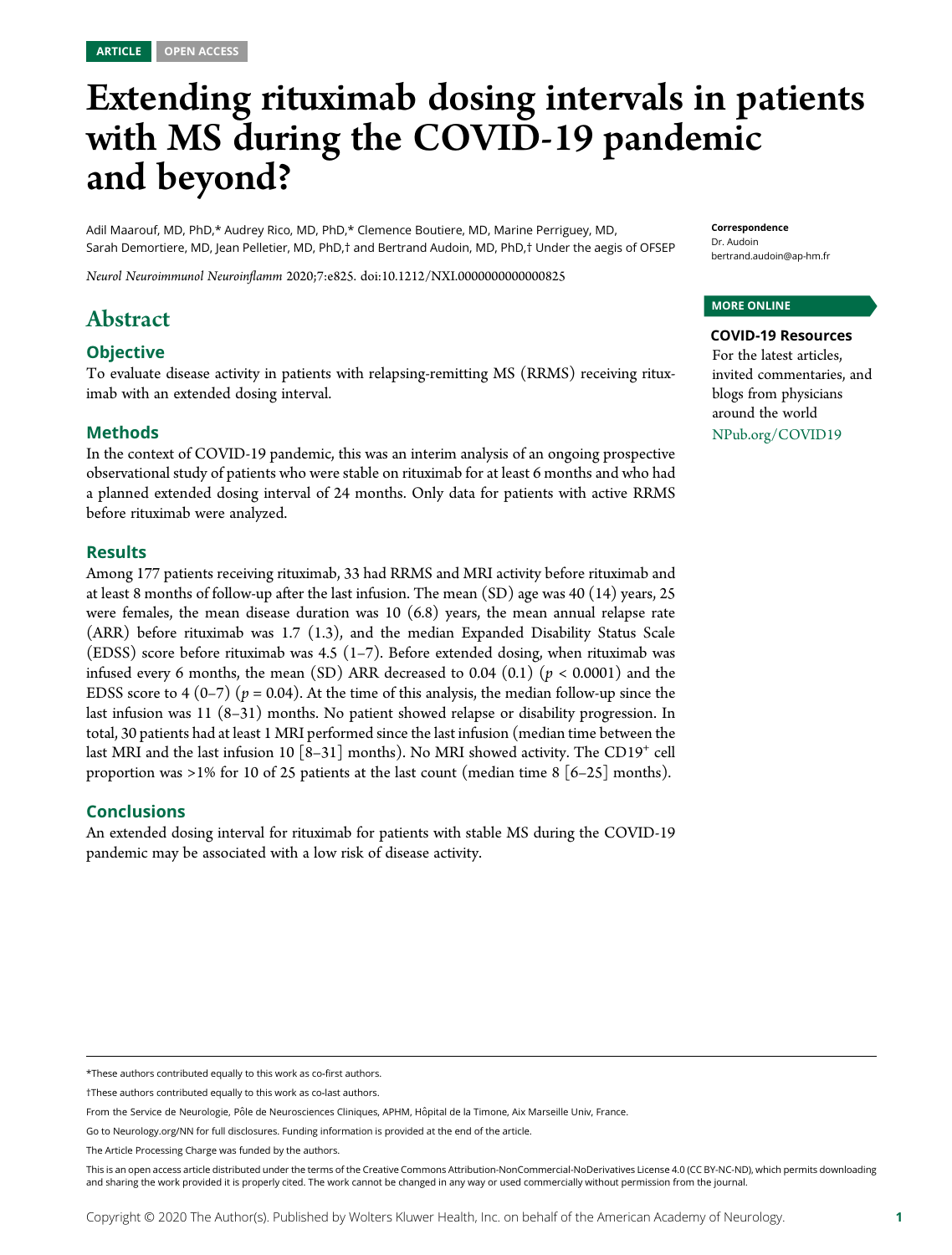# Extending rituximab dosing intervals in patients with MS during the COVID-19 pandemic and beyond?

Adil Maarouf, MD, PhD,\* Audrey Rico, MD, PhD,\* Clemence Boutiere, MD, Marine Perriguey, MD, Sarah Demortiere, MD, Jean Pelletier, MD, PhD,† and Bertrand Audoin, MD, PhD,† Under the aegis of OFSEP

Neurol Neuroimmunol Neuroinflamm 2020;7:e825. doi[:10.1212/NXI.0000000000000825](http://dx.doi.org/10.1212/NXI.0000000000000825)

## Abstract

#### **Objective**

To evaluate disease activity in patients with relapsing-remitting MS (RRMS) receiving rituximab with an extended dosing interval.

#### Methods

In the context of COVID-19 pandemic, this was an interim analysis of an ongoing prospective observational study of patients who were stable on rituximab for at least 6 months and who had a planned extended dosing interval of 24 months. Only data for patients with active RRMS before rituximab were analyzed.

#### Results

Among 177 patients receiving rituximab, 33 had RRMS and MRI activity before rituximab and at least 8 months of follow-up after the last infusion. The mean (SD) age was 40 (14) years, 25 were females, the mean disease duration was  $10$  (6.8) years, the mean annual relapse rate (ARR) before rituximab was 1.7 (1.3), and the median Expanded Disability Status Scale (EDSS) score before rituximab was 4.5 (1–7). Before extended dosing, when rituximab was infused every 6 months, the mean (SD) ARR decreased to 0.04 (0.1) ( $p < 0.0001$ ) and the EDSS score to 4 (0–7) ( $p = 0.04$ ). At the time of this analysis, the median follow-up since the last infusion was 11 (8–31) months. No patient showed relapse or disability progression. In total, 30 patients had at least 1 MRI performed since the last infusion (median time between the last MRI and the last infusion 10  $[8-31]$  months). No MRI showed activity. The CD19<sup>+</sup> cell proportion was >1% for 10 of 25 patients at the last count (median time 8 [6–25] months).

#### Conclusions

An extended dosing interval for rituximab for patients with stable MS during the COVID-19 pandemic may be associated with a low risk of disease activity.

\*These authors contributed equally to this work as co‐first authors.

Go to [Neurology.org/NN](https://nn.neurology.org/content/7/5/e825/tab-article-info) for full disclosures. Funding information is provided at the end of the article.

Correspondence Dr. Audoin [bertrand.audoin@ap-hm.fr](mailto:bertrand.audoin@ap-hm.fr)

#### MORE ONLINE

COVID-19 Resources For the latest articles, invited commentaries, and blogs from physicians around the world

[NPub.org/COVID19](http://NPub.org/COVID19)

<sup>†</sup>These authors contributed equally to this work as co‐last authors.

From the Service de Neurologie, Pôle de Neurosciences Cliniques, APHM, Hôpital de la Timone, Aix Marseille Univ, France.

The Article Processing Charge was funded by the authors.

This is an open access article distributed under the terms of the [Creative Commons Attribution-NonCommercial-NoDerivatives License 4.0 \(CC BY-NC-ND\),](http://creativecommons.org/licenses/by-nc-nd/4.0/) which permits downloading and sharing the work provided it is properly cited. The work cannot be changed in any way or used commercially without permission from the journal.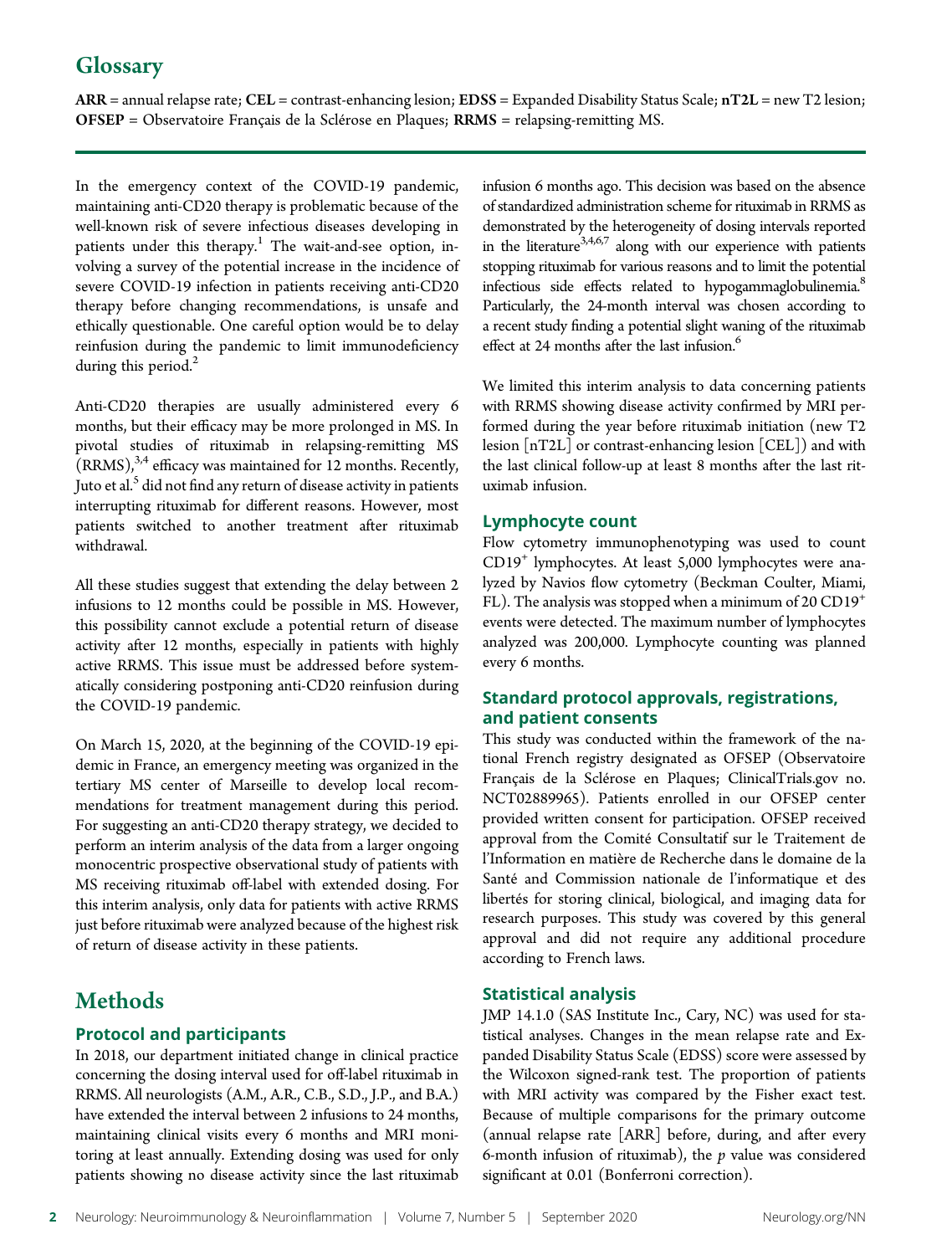# **Glossary**

 $\text{ARR}$  = annual relapse rate; CEL = contrast-enhancing lesion; EDSS = Expanded Disability Status Scale;  $\text{nT2L}$  = new T2 lesion; OFSEP = Observatoire Français de la Sclérose en Plaques; RRMS = relapsing-remitting MS.

In the emergency context of the COVID-19 pandemic, maintaining anti-CD20 therapy is problematic because of the well-known risk of severe infectious diseases developing in patients under this therapy.<sup>1</sup> The wait-and-see option, involving a survey of the potential increase in the incidence of severe COVID-19 infection in patients receiving anti-CD20 therapy before changing recommendations, is unsafe and ethically questionable. One careful option would be to delay reinfusion during the pandemic to limit immunodeficiency during this period.<sup>2</sup>

Anti-CD20 therapies are usually administered every 6 months, but their efficacy may be more prolonged in MS. In pivotal studies of rituximab in relapsing-remitting MS  $(RRMS)<sup>3,4</sup>$  efficacy was maintained for 12 months. Recently, Juto et al.<sup>5</sup> did not find any return of disease activity in patients interrupting rituximab for different reasons. However, most patients switched to another treatment after rituximab withdrawal.

All these studies suggest that extending the delay between 2 infusions to 12 months could be possible in MS. However, this possibility cannot exclude a potential return of disease activity after 12 months, especially in patients with highly active RRMS. This issue must be addressed before systematically considering postponing anti-CD20 reinfusion during the COVID-19 pandemic.

On March 15, 2020, at the beginning of the COVID-19 epidemic in France, an emergency meeting was organized in the tertiary MS center of Marseille to develop local recommendations for treatment management during this period. For suggesting an anti-CD20 therapy strategy, we decided to perform an interim analysis of the data from a larger ongoing monocentric prospective observational study of patients with MS receiving rituximab off-label with extended dosing. For this interim analysis, only data for patients with active RRMS just before rituximab were analyzed because of the highest risk of return of disease activity in these patients.

# **Methods**

#### Protocol and participants

In 2018, our department initiated change in clinical practice concerning the dosing interval used for off-label rituximab in RRMS. All neurologists (A.M., A.R., C.B., S.D., J.P., and B.A.) have extended the interval between 2 infusions to 24 months, maintaining clinical visits every 6 months and MRI monitoring at least annually. Extending dosing was used for only patients showing no disease activity since the last rituximab

infusion 6 months ago. This decision was based on the absence of standardized administration scheme for rituximab in RRMS as demonstrated by the heterogeneity of dosing intervals reported in the literature<sup>3,4,6,7</sup> along with our experience with patients stopping rituximab for various reasons and to limit the potential infectious side effects related to hypogammaglobulinemia.<sup>8</sup> Particularly, the 24-month interval was chosen according to a recent study finding a potential slight waning of the rituximab effect at 24 months after the last infusion.<sup>6</sup>

We limited this interim analysis to data concerning patients with RRMS showing disease activity confirmed by MRI performed during the year before rituximab initiation (new T2 lesion [nT2L] or contrast-enhancing lesion [CEL]) and with the last clinical follow-up at least 8 months after the last rituximab infusion.

#### Lymphocyte count

Flow cytometry immunophenotyping was used to count CD19<sup>+</sup> lymphocytes. At least 5,000 lymphocytes were analyzed by Navios flow cytometry (Beckman Coulter, Miami, FL). The analysis was stopped when a minimum of 20  $CD19^+$ events were detected. The maximum number of lymphocytes analyzed was 200,000. Lymphocyte counting was planned every 6 months.

#### Standard protocol approvals, registrations, and patient consents

This study was conducted within the framework of the national French registry designated as OFSEP (Observatoire Français de la Sclérose en Plaques; [ClinicalTrials.gov](http://ClinicalTrials.gov) no. NCT02889965). Patients enrolled in our OFSEP center provided written consent for participation. OFSEP received approval from the Comité Consultatif sur le Traitement de l'Information en matière de Recherche dans le domaine de la Santé and Commission nationale de l'informatique et des libertés for storing clinical, biological, and imaging data for research purposes. This study was covered by this general approval and did not require any additional procedure according to French laws.

#### Statistical analysis

JMP 14.1.0 (SAS Institute Inc., Cary, NC) was used for statistical analyses. Changes in the mean relapse rate and Expanded Disability Status Scale (EDSS) score were assessed by the Wilcoxon signed-rank test. The proportion of patients with MRI activity was compared by the Fisher exact test. Because of multiple comparisons for the primary outcome (annual relapse rate [ARR] before, during, and after every 6-month infusion of rituximab), the  $p$  value was considered significant at 0.01 (Bonferroni correction).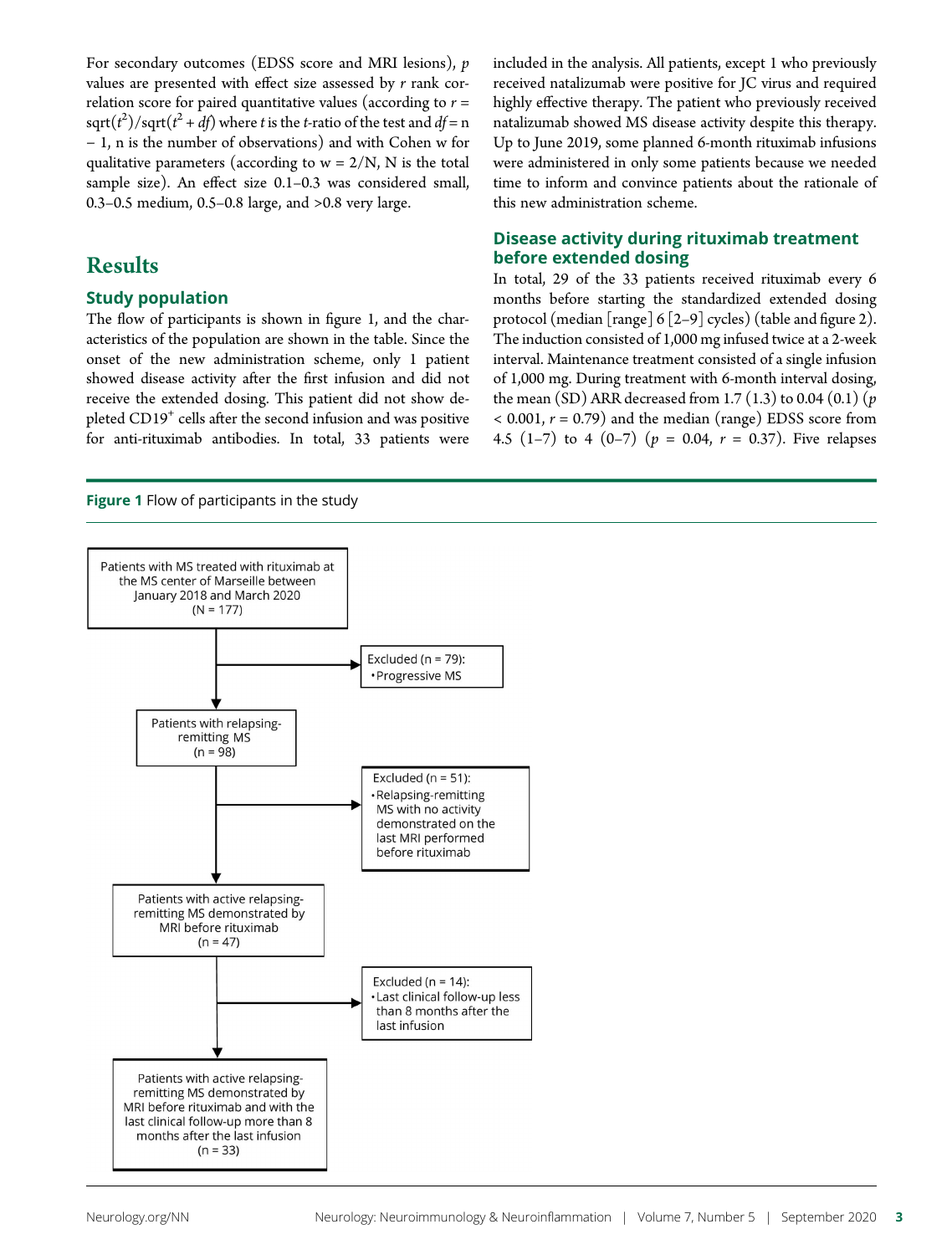For secondary outcomes (EDSS score and MRI lesions), p values are presented with effect size assessed by  $r$  rank correlation score for paired quantitative values (according to  $r =$ sqrt $(t^2)$ /sqrt $(t^2 + df)$  where t is the t-ratio of the test and  $df = n$ − 1, n is the number of observations) and with Cohen w for qualitative parameters (according to  $w = 2/N$ , N is the total sample size). An effect size 0.1–0.3 was considered small, 0.3–0.5 medium, 0.5–0.8 large, and >0.8 very large.

### Results

#### Study population

The flow of participants is shown in figure 1, and the characteristics of the population are shown in the table. Since the onset of the new administration scheme, only 1 patient showed disease activity after the first infusion and did not receive the extended dosing. This patient did not show depleted CD19<sup>+</sup> cells after the second infusion and was positive for anti-rituximab antibodies. In total, 33 patients were

Figure 1 Flow of participants in the study

included in the analysis. All patients, except 1 who previously received natalizumab were positive for JC virus and required highly effective therapy. The patient who previously received natalizumab showed MS disease activity despite this therapy. Up to June 2019, some planned 6-month rituximab infusions were administered in only some patients because we needed time to inform and convince patients about the rationale of this new administration scheme.

#### Disease activity during rituximab treatment before extended dosing

In total, 29 of the 33 patients received rituximab every 6 months before starting the standardized extended dosing protocol (median [range] 6 [2–9] cycles) (table and figure 2). The induction consisted of 1,000 mg infused twice at a 2-week interval. Maintenance treatment consisted of a single infusion of 1,000 mg. During treatment with 6-month interval dosing, the mean (SD) ARR decreased from 1.7 (1.3) to 0.04 (0.1) ( $p$  $<$  0.001,  $r = 0.79$ ) and the median (range) EDSS score from 4.5 (1–7) to 4 (0–7) ( $p = 0.04$ ,  $r = 0.37$ ). Five relapses

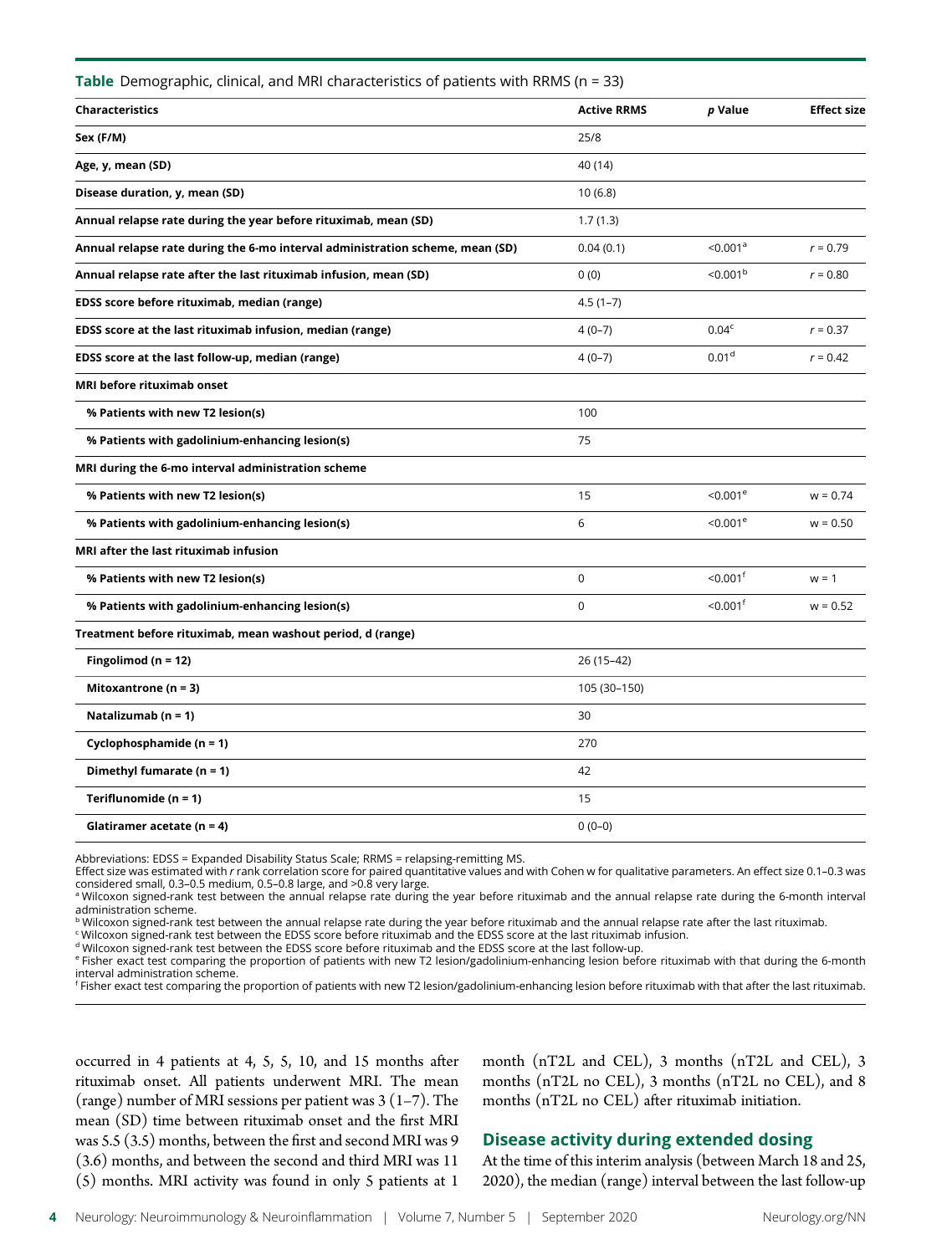| Table Demographic, clinical, and MRI characteristics of patients with RRMS (n = 33) |                    |                        |                    |
|-------------------------------------------------------------------------------------|--------------------|------------------------|--------------------|
| <b>Characteristics</b>                                                              | <b>Active RRMS</b> | p Value                | <b>Effect size</b> |
| Sex (F/M)                                                                           | 25/8               |                        |                    |
| Age, y, mean (SD)                                                                   | 40 (14)            |                        |                    |
| Disease duration, y, mean (SD)                                                      | 10(6.8)            |                        |                    |
| Annual relapse rate during the year before rituximab, mean (SD)                     | 1.7(1.3)           |                        |                    |
| Annual relapse rate during the 6-mo interval administration scheme, mean (SD)       | 0.04(0.1)          | $< 0.001^a$            | $r = 0.79$         |
| Annual relapse rate after the last rituximab infusion, mean (SD)                    | 0(0)               | < 0.001 <sup>b</sup>   | $r = 0.80$         |
| EDSS score before rituximab, median (range)                                         | $4.5(1-7)$         |                        |                    |
| EDSS score at the last rituximab infusion, median (range)                           | $4(0-7)$           | 0.04 <sup>c</sup>      | $r = 0.37$         |
| EDSS score at the last follow-up, median (range)                                    | $4(0-7)$           | 0.01 <sup>d</sup>      | $r = 0.42$         |
| MRI before rituximab onset                                                          |                    |                        |                    |
| % Patients with new T2 lesion(s)                                                    | 100                |                        |                    |
| % Patients with gadolinium-enhancing lesion(s)                                      | 75                 |                        |                    |
| MRI during the 6-mo interval administration scheme                                  |                    |                        |                    |
| % Patients with new T2 lesion(s)                                                    | 15                 | $< 0.001^e$            | $w = 0.74$         |
| % Patients with gadolinium-enhancing lesion(s)                                      | 6                  | < 0.001e               | $w = 0.50$         |
| MRI after the last rituximab infusion                                               |                    |                        |                    |
| % Patients with new T2 lesion(s)                                                    | $\mathbf 0$        | $< 0.001$ <sup>f</sup> | $w = 1$            |
| % Patients with gadolinium-enhancing lesion(s)                                      | $\mathbf 0$        | $< 0.001$ <sup>f</sup> | $w = 0.52$         |
| Treatment before rituximab, mean washout period, d (range)                          |                    |                        |                    |
| Fingolimod ( $n = 12$ )                                                             | 26 (15-42)         |                        |                    |
| Mitoxantrone ( $n = 3$ )                                                            | 105 (30-150)       |                        |                    |
| Natalizumab (n = 1)                                                                 | 30                 |                        |                    |
| Cyclophosphamide (n = 1)                                                            | 270                |                        |                    |
| Dimethyl fumarate $(n = 1)$                                                         | 42                 |                        |                    |
| Teriflunomide (n = 1)                                                               | 15                 |                        |                    |
| Glatiramer acetate (n = 4)                                                          | $0(0-0)$           |                        |                    |

Abbreviations: EDSS = Expanded Disability Status Scale; RRMS = relapsing-remitting MS.<br>Effect size was estimated with *r* rank correlation score for paired quantitative values and with Cohen w for qualitative parameters. A considered small, 0.3–0.5 medium, 0.5–0.8 large, and >0.8 very large.

a Wilcoxon signed-rank test between the annual relapse rate during the year before rituximab and the annual relapse rate during the 6-month interval administration scheme.

 $^{\rm b}$  Wilcoxon signed-rank test between the annual relapse rate during the year before rituximab and the annual relapse rate after the last rituximab.

<sup>c</sup> Wilcoxon signed-rank test between the EDSS score before rituximab and the EDSS score at the last rituximab infusion.

<sup>d</sup> Wilcoxon signed-rank test between the EDSS score before rituximab and the EDSS score at the last follow-up.

<sup>e</sup> Fisher exact test comparing the proportion of patients with new T2 lesion/gadolinium-enhancing lesion before rituximab with that during the 6-month interval administration scheme.

f Fisher exact test comparing the proportion of patients with new T2 lesion/gadolinium-enhancing lesion before rituximab with that after the last rituximab.

occurred in 4 patients at 4, 5, 5, 10, and 15 months after rituximab onset. All patients underwent MRI. The mean (range) number of MRI sessions per patient was  $3(1-7)$ . The mean (SD) time between rituximab onset and the first MRI was 5.5 (3.5) months, between the first and second MRI was 9 (3.6) months, and between the second and third MRI was 11 (5) months. MRI activity was found in only 5 patients at 1

month (nT2L and CEL), 3 months (nT2L and CEL), 3 months (nT2L no CEL), 3 months (nT2L no CEL), and 8 months (nT2L no CEL) after rituximab initiation.

#### Disease activity during extended dosing

At the time of this interim analysis (between March 18 and 25, 2020), the median (range) interval between the last follow-up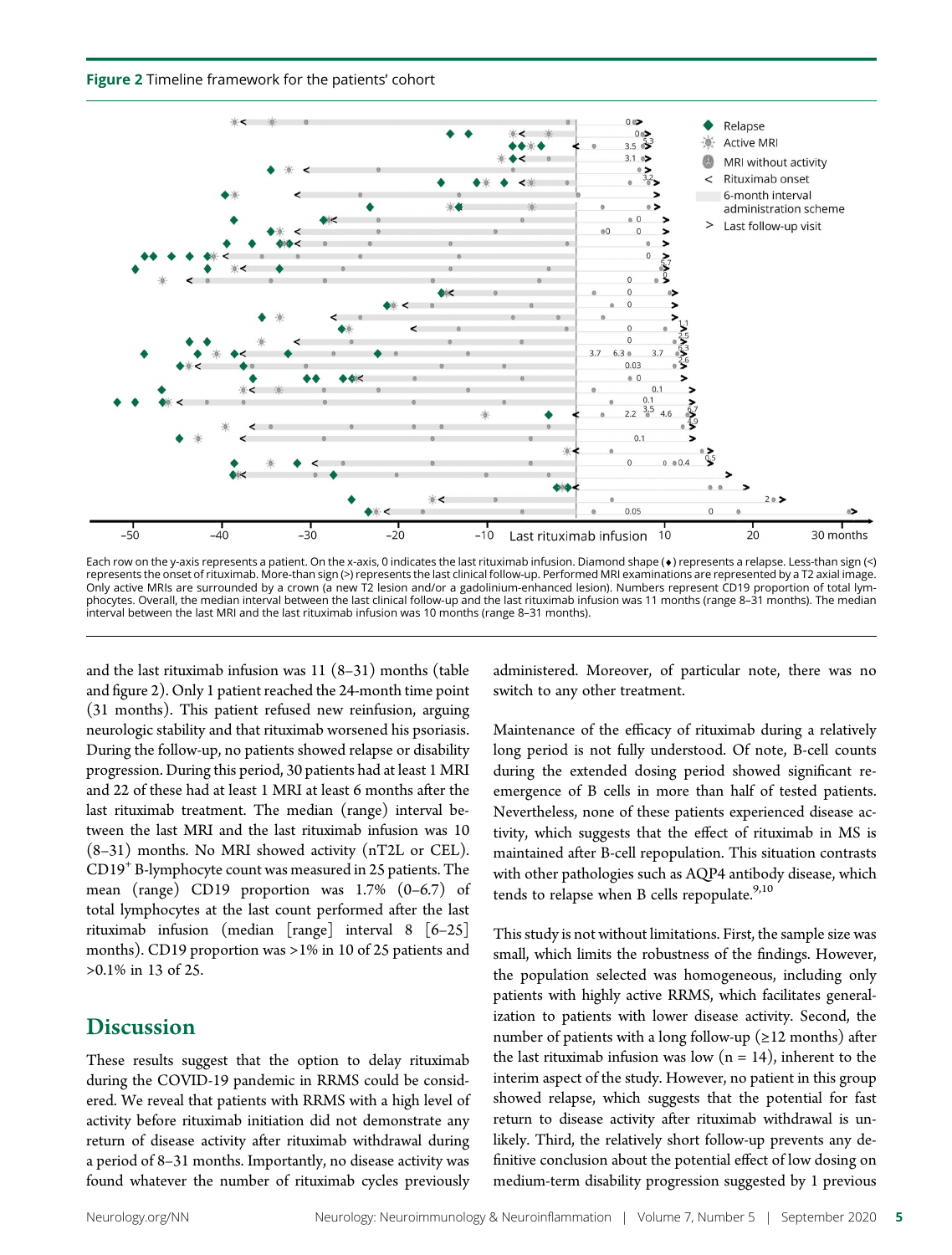Figure 2 Timeline framework for the patients' cohort



Each row on the y-axis represents a patient. On the x-axis, 0 indicates the last rituximab infusion. Diamond shape (¤) represents a relapse. Less-than sign (<) represents the onset of rituximab. More-than sign (>) represents the last clinical follow-up. Performed MRI examinations are represented by a T2 axial image. Only active MRIs are surrounded by a crown (a new T2 lesion and/or a gadolinium-enhanced lesion). Numbers represent CD19 proportion of total lymphocytes. Overall, the median interval between the last clinical follow-up and the last rituximab infusion was 11 months (range 8–31 months). The median interval between the last MRI and the last rituximab infusion was 10 months (range 8–31 months).

and the last rituximab infusion was 11 (8–31) months (table and figure 2). Only 1 patient reached the 24-month time point (31 months). This patient refused new reinfusion, arguing neurologic stability and that rituximab worsened his psoriasis. During the follow-up, no patients showed relapse or disability progression. During this period, 30 patients had at least 1 MRI and 22 of these had at least 1 MRI at least 6 months after the last rituximab treatment. The median (range) interval between the last MRI and the last rituximab infusion was 10 (8–31) months. No MRI showed activity (nT2L or CEL). CD19+ B-lymphocyte count was measured in 25 patients. The mean (range) CD19 proportion was 1.7% (0–6.7) of total lymphocytes at the last count performed after the last rituximab infusion (median [range] interval 8 [6–25] months). CD19 proportion was >1% in 10 of 25 patients and >0.1% in 13 of 25.

#### **Discussion**

These results suggest that the option to delay rituximab during the COVID-19 pandemic in RRMS could be considered. We reveal that patients with RRMS with a high level of activity before rituximab initiation did not demonstrate any return of disease activity after rituximab withdrawal during a period of 8–31 months. Importantly, no disease activity was found whatever the number of rituximab cycles previously

administered. Moreover, of particular note, there was no switch to any other treatment.

Maintenance of the efficacy of rituximab during a relatively long period is not fully understood. Of note, B-cell counts during the extended dosing period showed significant reemergence of B cells in more than half of tested patients. Nevertheless, none of these patients experienced disease activity, which suggests that the effect of rituximab in MS is maintained after B-cell repopulation. This situation contrasts with other pathologies such as AQP4 antibody disease, which tends to relapse when B cells repopulate.<sup>9,10</sup>

This study is not without limitations. First, the sample size was small, which limits the robustness of the findings. However, the population selected was homogeneous, including only patients with highly active RRMS, which facilitates generalization to patients with lower disease activity. Second, the number of patients with a long follow-up ( $\geq$ 12 months) after the last rituximab infusion was low  $(n = 14)$ , inherent to the interim aspect of the study. However, no patient in this group showed relapse, which suggests that the potential for fast return to disease activity after rituximab withdrawal is unlikely. Third, the relatively short follow-up prevents any definitive conclusion about the potential effect of low dosing on medium-term disability progression suggested by 1 previous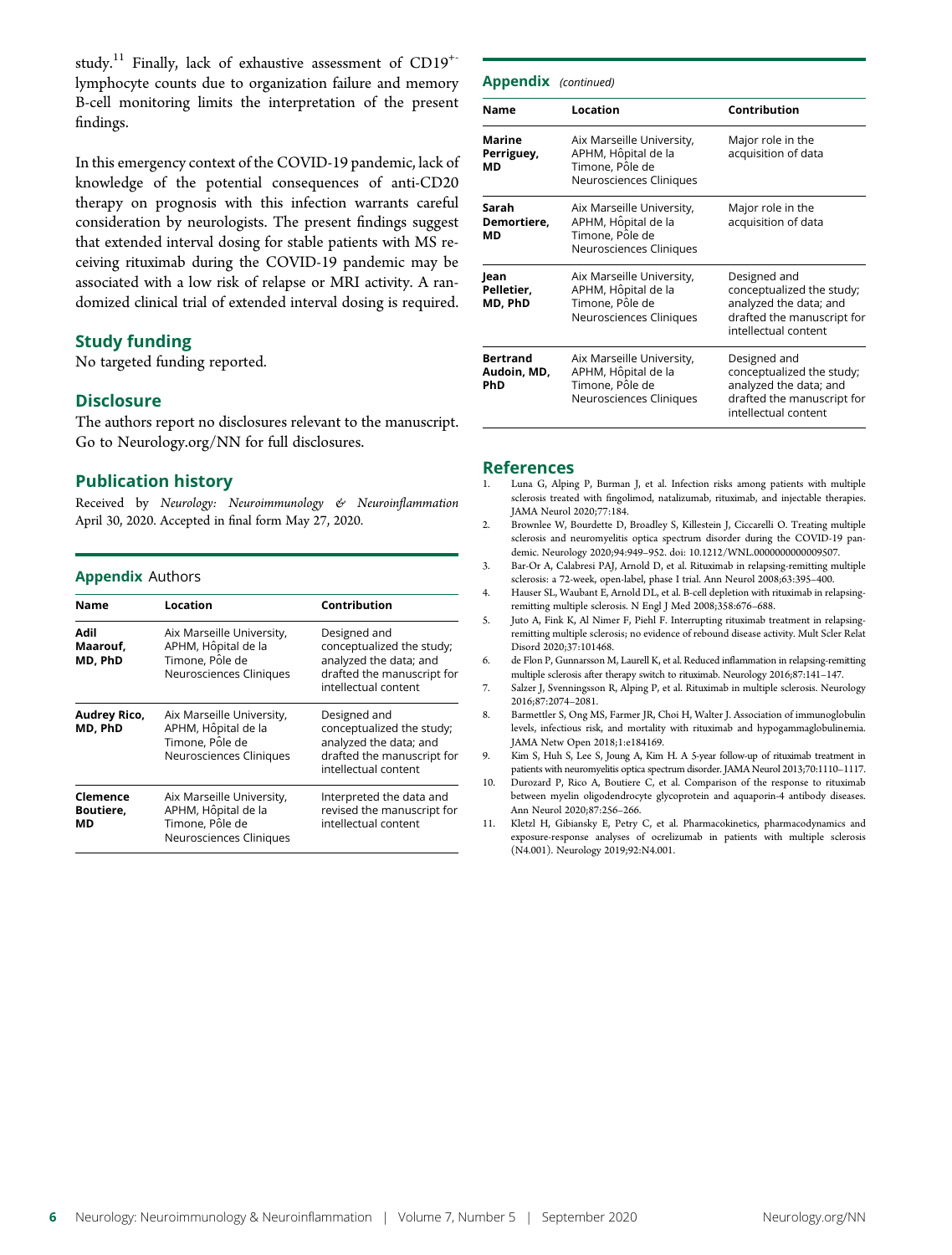study.<sup>11</sup> Finally, lack of exhaustive assessment of CD19<sup>+</sup> lymphocyte counts due to organization failure and memory B-cell monitoring limits the interpretation of the present findings.

In this emergency context of the COVID-19 pandemic, lack of knowledge of the potential consequences of anti-CD20 therapy on prognosis with this infection warrants careful consideration by neurologists. The present findings suggest that extended interval dosing for stable patients with MS receiving rituximab during the COVID-19 pandemic may be associated with a low risk of relapse or MRI activity. A randomized clinical trial of extended interval dosing is required.

#### Study funding

No targeted funding reported.

#### **Disclosure**

The authors report no disclosures relevant to the manuscript. Go to [Neurology.org/NN](https://nn.neurology.org/content/7/5/e825/tab-article-info) for full disclosures.

#### Publication history

Received by Neurology: Neuroimmunology & Neuroinflammation April 30, 2020. Accepted in final form May 27, 2020.

#### Appendix Authors

| <b>Name</b>                 | Location                                                                                       | Contribution                                                                                                              |  |
|-----------------------------|------------------------------------------------------------------------------------------------|---------------------------------------------------------------------------------------------------------------------------|--|
| Adil<br>Maarouf.<br>MD, PhD | Aix Marseille University,<br>APHM, Hôpital de la<br>Timone, Pôle de<br>Neurosciences Cliniques | Designed and<br>conceptualized the study;<br>analyzed the data; and<br>drafted the manuscript for<br>intellectual content |  |
| Audrey Rico,<br>MD, PhD     | Aix Marseille University,<br>APHM, Hôpital de la<br>Timone, Pôle de<br>Neurosciences Cliniques | Designed and<br>conceptualized the study;<br>analyzed the data; and<br>drafted the manuscript for<br>intellectual content |  |
| Clemence<br>Boutiere,<br>МD | Aix Marseille University,<br>APHM, Hôpital de la<br>Timone, Pôle de<br>Neurosciences Cliniques | Interpreted the data and<br>revised the manuscript for<br>intellectual content                                            |  |

| <b>Appendix</b> (continued)           |                                                                                                |                                                                                                                           |  |  |
|---------------------------------------|------------------------------------------------------------------------------------------------|---------------------------------------------------------------------------------------------------------------------------|--|--|
| <b>Name</b>                           | Location                                                                                       | Contribution                                                                                                              |  |  |
| <b>Marine</b><br>Perriguey,<br>МD     | Aix Marseille University,<br>APHM, Hôpital de la<br>Timone, Pôle de<br>Neurosciences Cliniques | Major role in the<br>acquisition of data                                                                                  |  |  |
| Sarah<br>Demortiere,<br>МD            | Aix Marseille University,<br>APHM, Hôpital de la<br>Timone, Pôle de<br>Neurosciences Cliniques | Major role in the<br>acquisition of data                                                                                  |  |  |
| Jean<br>Pelletier,<br>MD, PhD         | Aix Marseille University,<br>APHM, Hôpital de la<br>Timone, Pôle de<br>Neurosciences Cliniques | Designed and<br>conceptualized the study;<br>analyzed the data; and<br>drafted the manuscript for<br>intellectual content |  |  |
| <b>Bertrand</b><br>Audoin, MD,<br>PhD | Aix Marseille University,<br>APHM, Hôpital de la<br>Timone, Pôle de<br>Neurosciences Cliniques | Designed and<br>conceptualized the study;<br>analyzed the data; and<br>drafted the manuscript for<br>intellectual content |  |  |

#### References

- 1. Luna G, Alping P, Burman J, et al. Infection risks among patients with multiple sclerosis treated with fingolimod, natalizumab, rituximab, and injectable therapies. JAMA Neurol 2020;77:184.
- 2. Brownlee W, Bourdette D, Broadley S, Killestein J, Ciccarelli O. Treating multiple sclerosis and neuromyelitis optica spectrum disorder during the COVID-19 pandemic. Neurology 2020;94:949–952. [doi: 10.1212/WNL.0000000000009507.](https://dx.doi.org/10.1212/WNL.0000000000009507)
- 3. Bar-Or A, Calabresi PAJ, Arnold D, et al. Rituximab in relapsing-remitting multiple sclerosis: a 72-week, open-label, phase I trial. Ann Neurol 2008;63:395–400.
- 4. Hauser SL, Waubant E, Arnold DL, et al. B-cell depletion with rituximab in relapsingremitting multiple sclerosis. N Engl J Med 2008;358:676–688.
- 5. Juto A, Fink K, Al Nimer F, Piehl F. Interrupting rituximab treatment in relapsingremitting multiple sclerosis; no evidence of rebound disease activity. Mult Scler Relat Disord 2020;37:101468.
- 6. de Flon P, Gunnarsson M, Laurell K, et al. Reduced inflammation in relapsing-remitting multiple sclerosis after therapy switch to rituximab. Neurology 2016;87:141–147.
- 7. Salzer J, Svenningsson R, Alping P, et al. Rituximab in multiple sclerosis. Neurology 2016;87:2074–2081.
- 8. Barmettler S, Ong MS, Farmer JR, Choi H, Walter J. Association of immunoglobulin levels, infectious risk, and mortality with rituximab and hypogammaglobulinemia. JAMA Netw Open 2018;1:e184169.
- 9. Kim S, Huh S, Lee S, Joung A, Kim H. A 5-year follow-up of rituximab treatment in patients with neuromyelitis optica spectrum disorder. JAMA Neurol 2013;70:1110–1117.
- 10. Durozard P, Rico A, Boutiere C, et al. Comparison of the response to rituximab between myelin oligodendrocyte glycoprotein and aquaporin-4 antibody diseases. Ann Neurol 2020;87:256–266.
- 11. Kletzl H, Gibiansky E, Petry C, et al. Pharmacokinetics, pharmacodynamics and exposure-response analyses of ocrelizumab in patients with multiple sclerosis (N4.001). Neurology 2019;92:N4.001.